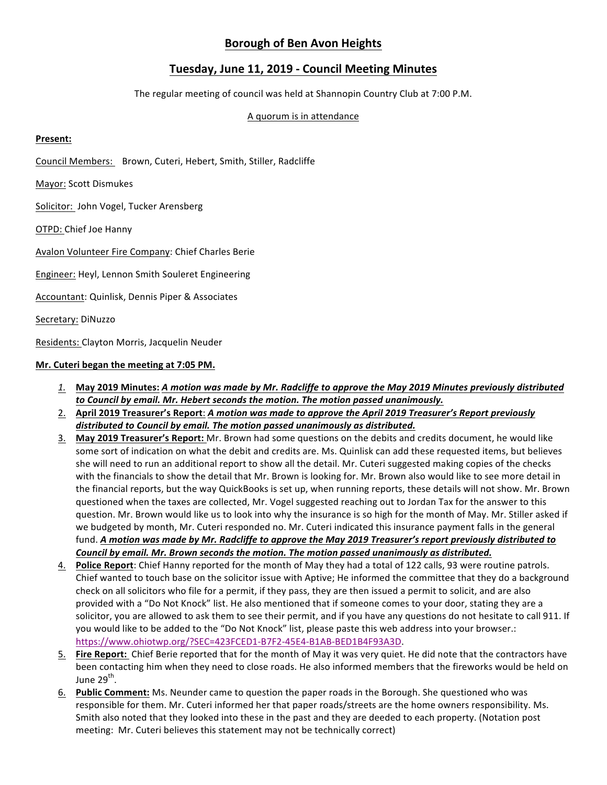# **Borough of Ben Avon Heights**

# **Tuesday, June 11, 2019 - Council Meeting Minutes**

The regular meeting of council was held at Shannopin Country Club at 7:00 P.M.

#### A quorum is in attendance

## **Present:**

Council Members: Brown, Cuteri, Hebert, Smith, Stiller, Radcliffe

Mayor: Scott Dismukes

Solicitor: John Vogel, Tucker Arensberg

OTPD: Chief Joe Hanny

Avalon Volunteer Fire Company: Chief Charles Berie

Engineer: Heyl, Lennon Smith Souleret Engineering

Accountant: Quinlisk, Dennis Piper & Associates

Secretary: DiNuzzo

Residents: Clayton Morris, Jacquelin Neuder

## **Mr.** Cuteri began the meeting at 7:05 PM.

- *1.* **May 2019 Minutes:** *A motion was made by Mr. Radcliffe to approve the May 2019 Minutes previously distributed to* Council by email. Mr. Hebert seconds the motion. The motion passed unanimously.
- 2. April 2019 Treasurer's Report: A motion was made to approve the April 2019 Treasurer's Report previously distributed to Council by email. The motion passed unanimously as distributed.
- 3. May 2019 Treasurer's Report: Mr. Brown had some questions on the debits and credits document, he would like some sort of indication on what the debit and credits are. Ms. Quinlisk can add these requested items, but believes she will need to run an additional report to show all the detail. Mr. Cuteri suggested making copies of the checks with the financials to show the detail that Mr. Brown is looking for. Mr. Brown also would like to see more detail in the financial reports, but the way QuickBooks is set up, when running reports, these details will not show. Mr. Brown questioned when the taxes are collected, Mr. Vogel suggested reaching out to Jordan Tax for the answer to this question. Mr. Brown would like us to look into why the insurance is so high for the month of May. Mr. Stiller asked if we budgeted by month, Mr. Cuteri responded no. Mr. Cuteri indicated this insurance payment falls in the general fund. A motion was made by Mr. Radcliffe to approve the May 2019 Treasurer's report previously distributed to *Council by email. Mr. Brown seconds the motion. The motion passed unanimously as distributed.*
- 4. Police Report: Chief Hanny reported for the month of May they had a total of 122 calls, 93 were routine patrols. Chief wanted to touch base on the solicitor issue with Aptive; He informed the committee that they do a background check on all solicitors who file for a permit, if they pass, they are then issued a permit to solicit, and are also provided with a "Do Not Knock" list. He also mentioned that if someone comes to your door, stating they are a solicitor, you are allowed to ask them to see their permit, and if you have any questions do not hesitate to call 911. If you would like to be added to the "Do Not Knock" list, please paste this web address into your browser.: https://www.ohiotwp.org/?SEC=423FCED1-B7F2-45E4-B1AB-BED1B4F93A3D.
- 5. Fire Report: Chief Berie reported that for the month of May it was very quiet. He did note that the contractors have been contacting him when they need to close roads. He also informed members that the fireworks would be held on June  $29^{th}$ .
- 6. Public Comment: Ms. Neunder came to question the paper roads in the Borough. She questioned who was responsible for them. Mr. Cuteri informed her that paper roads/streets are the home owners responsibility. Ms. Smith also noted that they looked into these in the past and they are deeded to each property. (Notation post meeting: Mr. Cuteri believes this statement may not be technically correct)